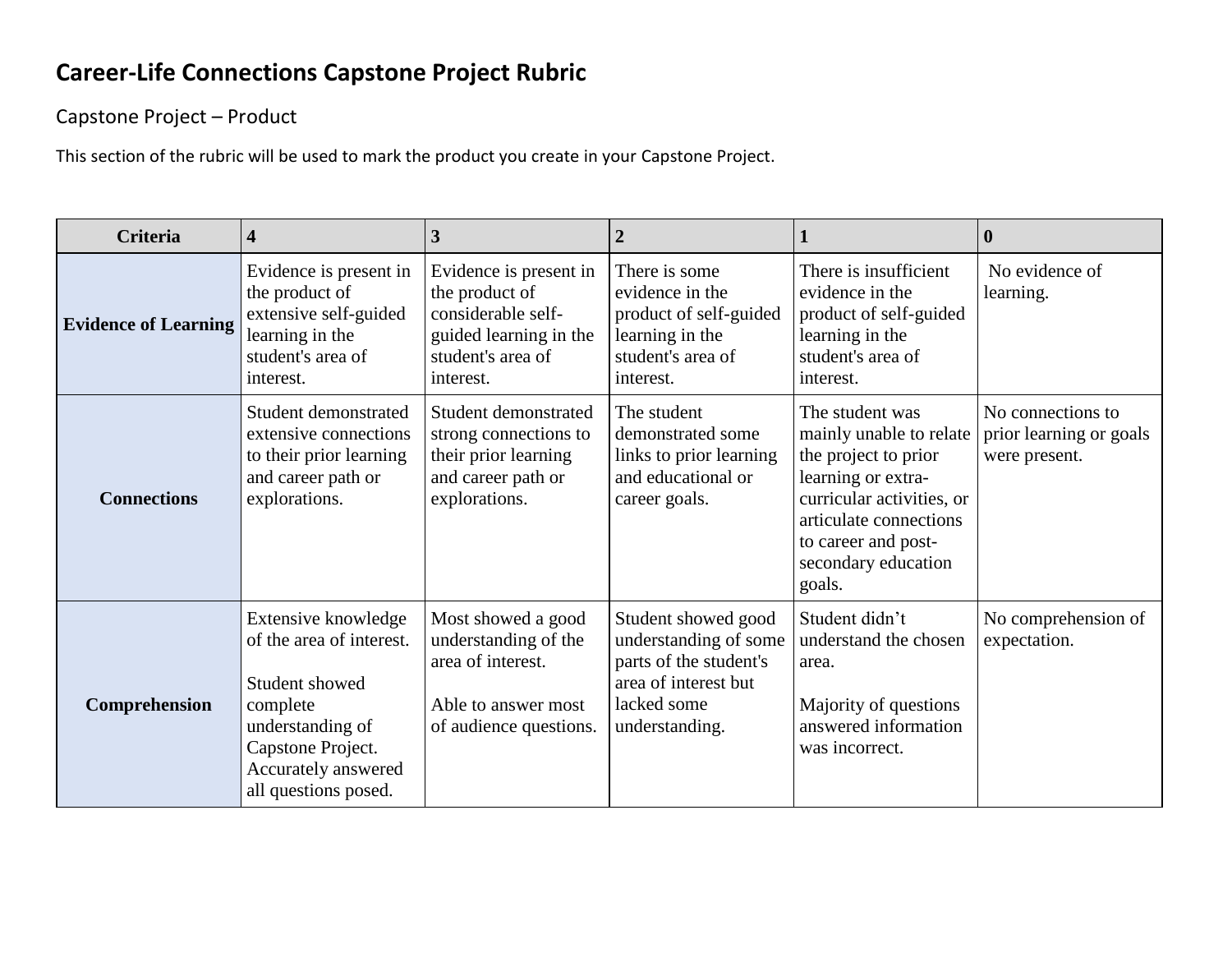## **Career-Life Connections Capstone Project Rubric**

Capstone Project – Product

This section of the rubric will be used to mark the product you create in your Capstone Project.

| Criteria                    | 4                                                                                                                                                                     | 3                                                                                                                          | 2                                                                                                                               |                                                                                                                                                                                                         | $\mathbf 0$                                                   |
|-----------------------------|-----------------------------------------------------------------------------------------------------------------------------------------------------------------------|----------------------------------------------------------------------------------------------------------------------------|---------------------------------------------------------------------------------------------------------------------------------|---------------------------------------------------------------------------------------------------------------------------------------------------------------------------------------------------------|---------------------------------------------------------------|
| <b>Evidence of Learning</b> | Evidence is present in<br>the product of<br>extensive self-guided<br>learning in the<br>student's area of<br>interest.                                                | Evidence is present in<br>the product of<br>considerable self-<br>guided learning in the<br>student's area of<br>interest. | There is some<br>evidence in the<br>product of self-guided<br>learning in the<br>student's area of<br>interest.                 | There is insufficient<br>evidence in the<br>product of self-guided<br>learning in the<br>student's area of<br>interest.                                                                                 | No evidence of<br>learning.                                   |
| <b>Connections</b>          | Student demonstrated<br>extensive connections<br>to their prior learning<br>and career path or<br>explorations.                                                       | Student demonstrated<br>strong connections to<br>their prior learning<br>and career path or<br>explorations.               | The student<br>demonstrated some<br>links to prior learning<br>and educational or<br>career goals.                              | The student was<br>mainly unable to relate<br>the project to prior<br>learning or extra-<br>curricular activities, or<br>articulate connections<br>to career and post-<br>secondary education<br>goals. | No connections to<br>prior learning or goals<br>were present. |
| Comprehension               | Extensive knowledge<br>of the area of interest.<br>Student showed<br>complete<br>understanding of<br>Capstone Project.<br>Accurately answered<br>all questions posed. | Most showed a good<br>understanding of the<br>area of interest.<br>Able to answer most<br>of audience questions.           | Student showed good<br>understanding of some<br>parts of the student's<br>area of interest but<br>lacked some<br>understanding. | Student didn't<br>understand the chosen<br>area.<br>Majority of questions<br>answered information<br>was incorrect.                                                                                     | No comprehension of<br>expectation.                           |